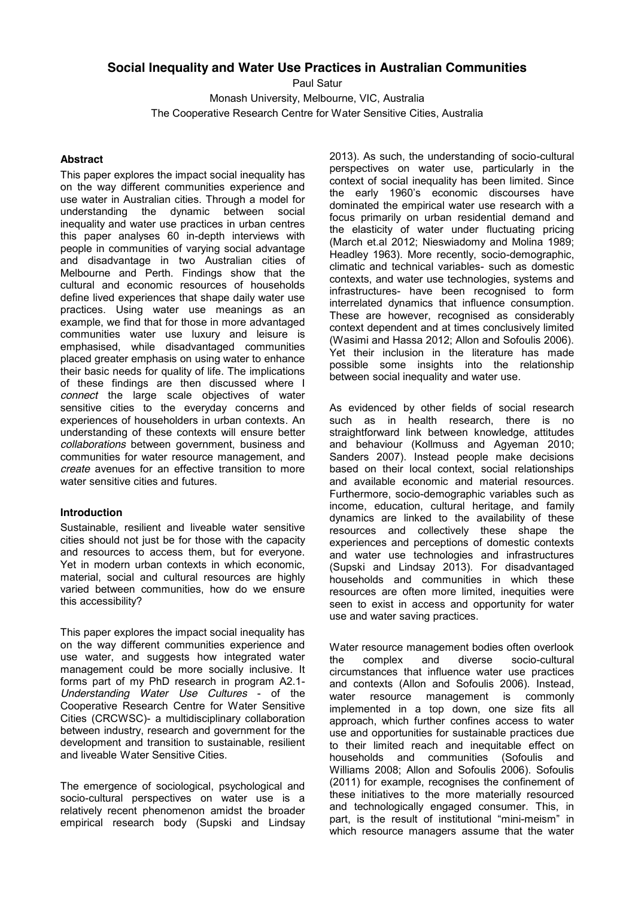# **Social Inequality and Water Use Practices in Australian Communities**

Paul Satur

Monash University, Melbourne, VIC, Australia The Cooperative Research Centre for Water Sensitive Cities, Australia

# **Abstract**

This paper explores the impact social inequality has on the way different communities experience and use water in Australian cities. Through a model for understanding the dynamic between social inequality and water use practices in urban centres this paper analyses 60 in-depth interviews with people in communities of varying social advantage and disadvantage in two Australian cities of Melbourne and Perth. Findings show that the cultural and economic resources of households define lived experiences that shape daily water use practices. Using water use meanings as an example, we find that for those in more advantaged communities water use luxury and leisure is emphasised, while disadvantaged communities placed greater emphasis on using water to enhance their basic needs for quality of life. The implications of these findings are then discussed where I *connect* the large scale objectives of water sensitive cities to the everyday concerns and experiences of householders in urban contexts. An understanding of these contexts will ensure better *collaborations* between government, business and communities for water resource management, and *create* avenues for an effective transition to more water sensitive cities and futures.

# **Introduction**

Sustainable, resilient and liveable water sensitive cities should not just be for those with the capacity and resources to access them, but for everyone. Yet in modern urban contexts in which economic, material, social and cultural resources are highly varied between communities, how do we ensure this accessibility?

This paper explores the impact social inequality has on the way different communities experience and use water, and suggests how integrated water management could be more socially inclusive. It forms part of my PhD research in program A2.1- *Understanding Water Use Cultures* - of the Cooperative Research Centre for Water Sensitive Cities (CRCWSC)- a multidisciplinary collaboration between industry, research and government for the development and transition to sustainable, resilient and liveable Water Sensitive Cities.

The emergence of sociological, psychological and socio-cultural perspectives on water use is a relatively recent phenomenon amidst the broader empirical research body (Supski and Lindsay

2013). As such, the understanding of socio-cultural perspectives on water use, particularly in the context of social inequality has been limited. Since the early 1960's economic discourses have dominated the empirical water use research with a focus primarily on urban residential demand and the elasticity of water under fluctuating pricing (March et.al 2012; Nieswiadomy and Molina 1989; Headley 1963). More recently, socio-demographic, climatic and technical variables- such as domestic contexts, and water use technologies, systems and infrastructures- have been recognised to form interrelated dynamics that influence consumption. These are however, recognised as considerably context dependent and at times conclusively limited (Wasimi and Hassa 2012; Allon and Sofoulis 2006). Yet their inclusion in the literature has made possible some insights into the relationship between social inequality and water use.

As evidenced by other fields of social research such as in health research, there is no straightforward link between knowledge, attitudes and behaviour (Kollmuss and Agyeman 2010; Sanders 2007). Instead people make decisions based on their local context, social relationships and available economic and material resources. Furthermore, socio-demographic variables such as income, education, cultural heritage, and family dynamics are linked to the availability of these resources and collectively these shape the experiences and perceptions of domestic contexts and water use technologies and infrastructures (Supski and Lindsay 2013). For disadvantaged households and communities in which these resources are often more limited, inequities were seen to exist in access and opportunity for water use and water saving practices.

Water resource management bodies often overlook<br>the complex and diverse socio-cultural the complex and diverse socio-cultural circumstances that influence water use practices and contexts (Allon and Sofoulis 2006). Instead, water resource management is commonly implemented in a top down, one size fits all approach, which further confines access to water use and opportunities for sustainable practices due to their limited reach and inequitable effect on households and communities (Sofoulis and Williams 2008; Allon and Sofoulis 2006). Sofoulis (2011) for example, recognises the confinement of these initiatives to the more materially resourced and technologically engaged consumer. This, in part, is the result of institutional "mini-meism" in which resource managers assume that the water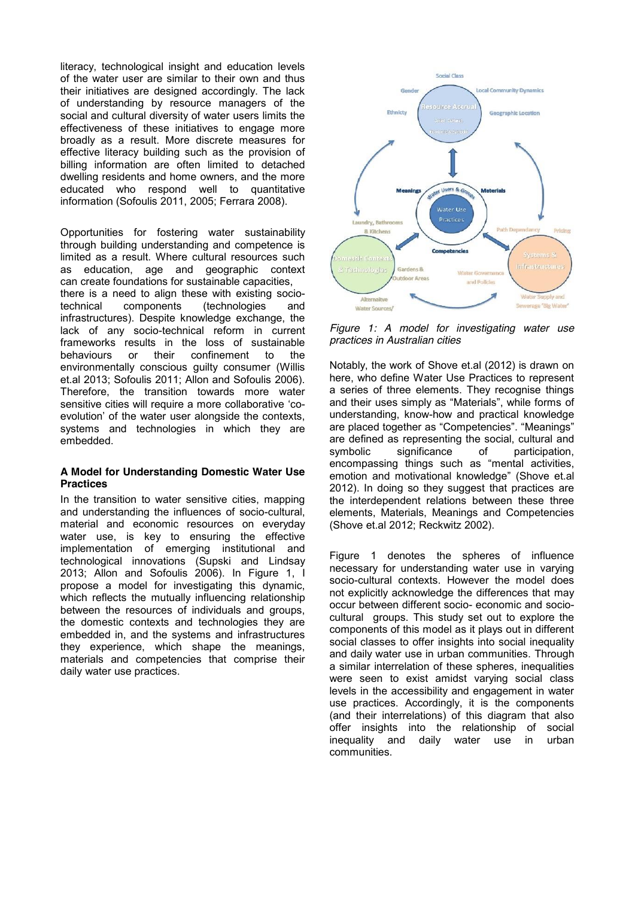literacy, technological insight and education levels of the water user are similar to their own and thus their initiatives are designed accordingly. The lack of understanding by resource managers of the social and cultural diversity of water users limits the effectiveness of these initiatives to engage more broadly as a result. More discrete measures for effective literacy building such as the provision of billing information are often limited to detached dwelling residents and home owners, and the more educated who respond well to quantitative information (Sofoulis 2011, 2005; Ferrara 2008).

Opportunities for fostering water sustainability through building understanding and competence is limited as a result. Where cultural resources such as education, age and geographic context can create foundations for sustainable capacities, there is a need to align these with existing sociotechnical components (technologies and infrastructures). Despite knowledge exchange, the lack of any socio-technical reform in current frameworks results in the loss of sustainable behaviours or their confinement to the environmentally conscious guilty consumer (Willis et.al 2013; Sofoulis 2011; Allon and Sofoulis 2006). Therefore, the transition towards more water sensitive cities will require a more collaborative 'coevolution' of the water user alongside the contexts, systems and technologies in which they are embedded.

## **A Model for Understanding Domestic Water Use Practices**

In the transition to water sensitive cities, mapping and understanding the influences of socio-cultural, material and economic resources on everyday water use, is key to ensuring the effective implementation of emerging institutional and technological innovations (Supski and Lindsay 2013; Allon and Sofoulis 2006). In Figure 1, I propose a model for investigating this dynamic, which reflects the mutually influencing relationship between the resources of individuals and groups, the domestic contexts and technologies they are embedded in, and the systems and infrastructures they experience, which shape the meanings, materials and competencies that comprise their daily water use practices.



*Figure 1: A model for investigating water use practices in Australian cities*

Notably, the work of Shove et.al (2012) is drawn on here, who define Water Use Practices to represent a series of three elements. They recognise things and their uses simply as "Materials", while forms of understanding, know-how and practical knowledge are placed together as "Competencies". "Meanings" are defined as representing the social, cultural and symbolic significance of participation, encompassing things such as "mental activities, emotion and motivational knowledge" (Shove et.al 2012). In doing so they suggest that practices are the interdependent relations between these three elements, Materials, Meanings and Competencies (Shove et.al 2012; Reckwitz 2002).

Figure 1 denotes the spheres of influence necessary for understanding water use in varying socio-cultural contexts. However the model does not explicitly acknowledge the differences that may occur between different socio- economic and sociocultural groups. This study set out to explore the components of this model as it plays out in different social classes to offer insights into social inequality and daily water use in urban communities. Through a similar interrelation of these spheres, inequalities were seen to exist amidst varying social class levels in the accessibility and engagement in water use practices. Accordingly, it is the components (and their interrelations) of this diagram that also offer insights into the relationship of social inequality and daily water use in urban communities.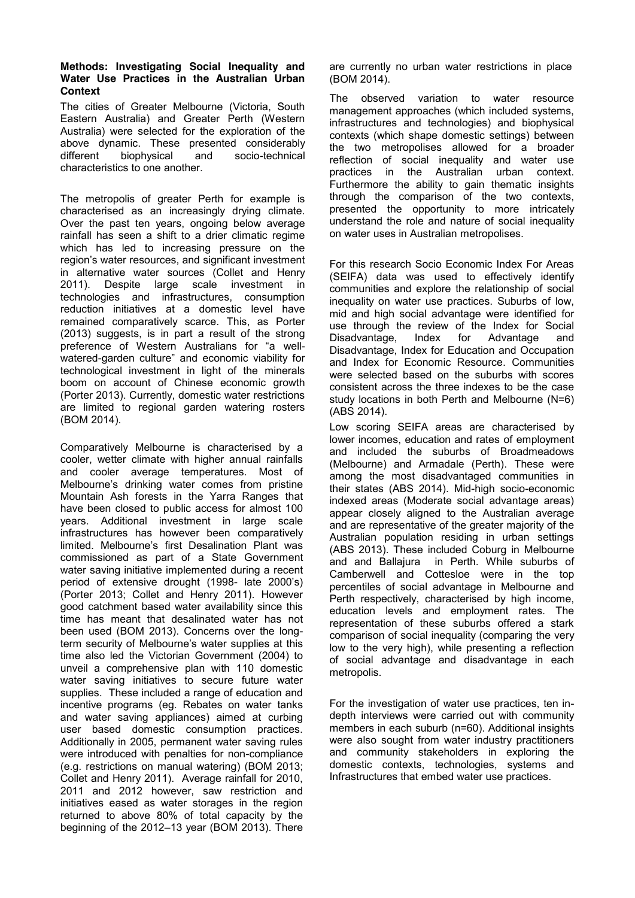#### **Methods: Investigating Social Inequality and Water Use Practices in the Australian Urban Context**

The cities of Greater Melbourne (Victoria, South Eastern Australia) and Greater Perth (Western Australia) were selected for the exploration of the above dynamic. These presented considerably different biophysical and socio-technical characteristics to one another.

The metropolis of greater Perth for example is characterised as an increasingly drying climate. Over the past ten years, ongoing below average rainfall has seen a shift to a drier climatic regime which has led to increasing pressure on the region's water resources, and significant investment in alternative water sources (Collet and Henry 2011). Despite large scale investment in technologies and infrastructures, consumption reduction initiatives at a domestic level have remained comparatively scarce. This, as Porter (2013) suggests, is in part a result of the strong preference of Western Australians for "a wellwatered-garden culture" and economic viability for technological investment in light of the minerals boom on account of Chinese economic growth (Porter 2013). Currently, domestic water restrictions are limited to regional garden watering rosters (BOM 2014).

Comparatively Melbourne is characterised by a cooler, wetter climate with higher annual rainfalls and cooler average temperatures. Most of Melbourne's drinking water comes from pristine Mountain Ash forests in the Yarra Ranges that have been closed to public access for almost 100 years. Additional investment in large scale infrastructures has however been comparatively limited. Melbourne's first Desalination Plant was commissioned as part of a State Government water saving initiative implemented during a recent period of extensive drought (1998- late 2000's) (Porter 2013; Collet and Henry 2011). However good catchment based water availability since this time has meant that desalinated water has not been used (BOM 2013). Concerns over the longterm security of Melbourne's water supplies at this time also led the Victorian Government (2004) to unveil a comprehensive plan with 110 domestic water saving initiatives to secure future water supplies. These included a range of education and incentive programs (eg. Rebates on water tanks and water saving appliances) aimed at curbing user based domestic consumption practices. Additionally in 2005, permanent water saving rules were introduced with penalties for non-compliance (e.g. restrictions on manual watering) (BOM 2013; Collet and Henry 2011). Average rainfall for 2010, 2011 and 2012 however, saw restriction and initiatives eased as water storages in the region returned to above 80% of total capacity by the beginning of the 2012–13 year (BOM 2013). There

are currently no urban water restrictions in place (BOM 2014).

The observed variation to water resource management approaches (which included systems, infrastructures and technologies) and biophysical contexts (which shape domestic settings) between the two metropolises allowed for a broader reflection of social inequality and water use practices in the Australian urban context. Furthermore the ability to gain thematic insights through the comparison of the two contexts, presented the opportunity to more intricately understand the role and nature of social inequality on water uses in Australian metropolises.

For this research Socio Economic Index For Areas (SEIFA) data was used to effectively identify communities and explore the relationship of social inequality on water use practices. Suburbs of low, mid and high social advantage were identified for use through the review of the Index for Social Disadvantage, Index for Advantage and Disadvantage, Index for Education and Occupation and Index for Economic Resource. Communities were selected based on the suburbs with scores consistent across the three indexes to be the case study locations in both Perth and Melbourne (N=6) (ABS 2014).

Low scoring SEIFA areas are characterised by lower incomes, education and rates of employment and included the suburbs of Broadmeadows (Melbourne) and Armadale (Perth). These were among the most disadvantaged communities in their states (ABS 2014). Mid-high socio-economic indexed areas (Moderate social advantage areas) appear closely aligned to the Australian average and are representative of the greater majority of the Australian population residing in urban settings (ABS 2013). These included Coburg in Melbourne and and Ballajura in Perth. While suburbs of Camberwell and Cottesloe were in the top percentiles of social advantage in Melbourne and Perth respectively, characterised by high income, education levels and employment rates. The representation of these suburbs offered a stark comparison of social inequality (comparing the very low to the very high), while presenting a reflection of social advantage and disadvantage in each metropolis.

For the investigation of water use practices, ten indepth interviews were carried out with community members in each suburb (n=60). Additional insights were also sought from water industry practitioners and community stakeholders in exploring the domestic contexts, technologies, systems and Infrastructures that embed water use practices.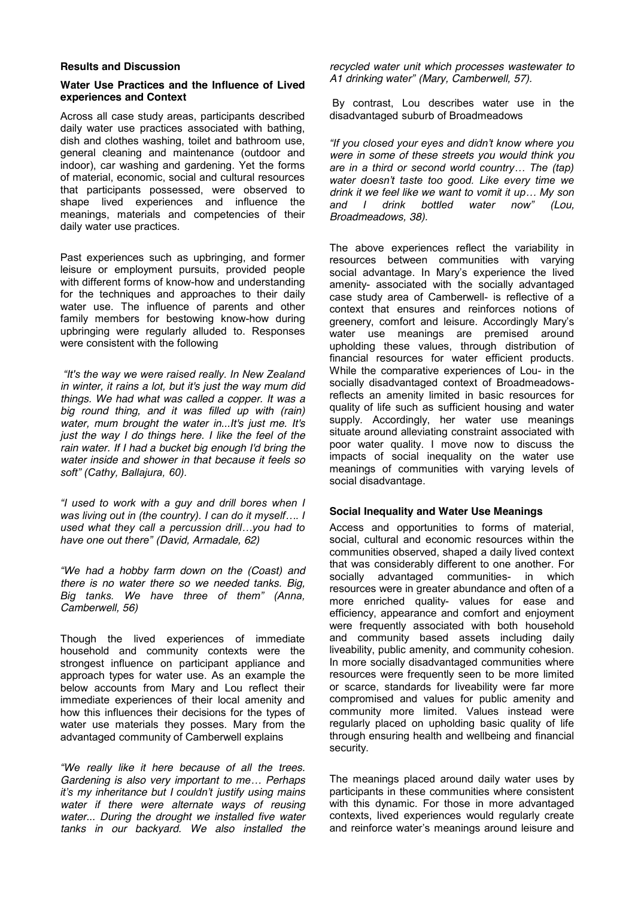#### **Results and Discussion**

#### **Water Use Practices and the Influence of Lived experiences and Context**

Across all case study areas, participants described daily water use practices associated with bathing, dish and clothes washing, toilet and bathroom use, general cleaning and maintenance (outdoor and indoor), car washing and gardening. Yet the forms of material, economic, social and cultural resources that participants possessed, were observed to shape lived experiences and influence the meanings, materials and competencies of their daily water use practices.

Past experiences such as upbringing, and former leisure or employment pursuits, provided people with different forms of know-how and understanding for the techniques and approaches to their daily water use. The influence of parents and other family members for bestowing know-how during upbringing were regularly alluded to. Responses were consistent with the following

*"It's the way we were raised really. In New Zealand in winter, it rains a lot, but it's just the way mum did things. We had what was called a copper. It was a big round thing, and it was filled up with (rain) water, mum brought the water in...It's just me. It's just the way I do things here. I like the feel of the rain water. If I had a bucket big enough I'd bring the water inside and shower in that because it feels so soft" (Cathy, Ballajura, 60).*

*"I used to work with a guy and drill bores when I was living out in (the country). I can do it myself…. I used what they call a percussion drill…you had to have one out there" (David, Armadale, 62)*

*"We had a hobby farm down on the (Coast) and there is no water there so we needed tanks. Big, Big tanks. We have three of them" (Anna, Camberwell, 56)*

Though the lived experiences of immediate household and community contexts were the strongest influence on participant appliance and approach types for water use. As an example the below accounts from Mary and Lou reflect their immediate experiences of their local amenity and how this influences their decisions for the types of water use materials they posses. Mary from the advantaged community of Camberwell explains

*"We really like it here because of all the trees. Gardening is also very important to me… Perhaps it's my inheritance but I couldn't justify using mains water if there were alternate ways of reusing water... During the drought we installed five water tanks in our backyard. We also installed the*

*recycled water unit which processes wastewater to A1 drinking water" (Mary, Camberwell, 57).*

By contrast, Lou describes water use in the disadvantaged suburb of Broadmeadows

*"If you closed your eyes and didn't know where you were in some of these streets you would think you are in a third or second world country… The (tap) water doesn't taste too good. Like every time we drink it we feel like we want to vomit it up… My son and I drink bottled water now" (Lou, Broadmeadows, 38).*

The above experiences reflect the variability in resources between communities with varying social advantage. In Mary's experience the lived amenity- associated with the socially advantaged case study area of Camberwell- is reflective of a context that ensures and reinforces notions of greenery, comfort and leisure. Accordingly Mary's water use meanings are premised around upholding these values, through distribution of financial resources for water efficient products. While the comparative experiences of Lou- in the socially disadvantaged context of Broadmeadowsreflects an amenity limited in basic resources for quality of life such as sufficient housing and water supply. Accordingly, her water use meanings situate around alleviating constraint associated with poor water quality. I move now to discuss the impacts of social inequality on the water use meanings of communities with varying levels of social disadvantage.

#### **Social Inequality and Water Use Meanings**

Access and opportunities to forms of material, social, cultural and economic resources within the communities observed, shaped a daily lived context that was considerably different to one another. For socially advantaged communities- in which resources were in greater abundance and often of a more enriched quality- values for ease and efficiency, appearance and comfort and enjoyment were frequently associated with both household and community based assets including daily liveability, public amenity, and community cohesion. In more socially disadvantaged communities where resources were frequently seen to be more limited or scarce, standards for liveability were far more compromised and values for public amenity and community more limited. Values instead were regularly placed on upholding basic quality of life through ensuring health and wellbeing and financial security.

The meanings placed around daily water uses by participants in these communities where consistent with this dynamic. For those in more advantaged contexts, lived experiences would regularly create and reinforce water's meanings around leisure and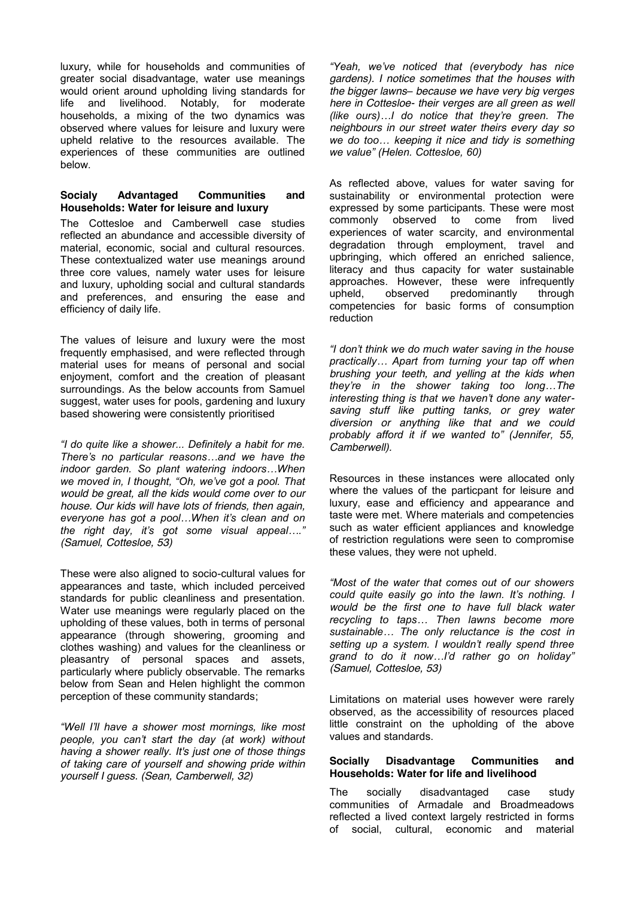luxury, while for households and communities of greater social disadvantage, water use meanings would orient around upholding living standards for<br>life and livelihood. Notably. for moderate livelihood. Notably, for moderate households, a mixing of the two dynamics was observed where values for leisure and luxury were upheld relative to the resources available. The experiences of these communities are outlined below.

## **Socialy Advantaged Communities and Households: Water for leisure and luxury**

The Cottesloe and Camberwell case studies reflected an abundance and accessible diversity of material, economic, social and cultural resources. These contextualized water use meanings around three core values, namely water uses for leisure and luxury, upholding social and cultural standards and preferences, and ensuring the ease and efficiency of daily life.

The values of leisure and luxury were the most frequently emphasised, and were reflected through material uses for means of personal and social enjoyment, comfort and the creation of pleasant surroundings. As the below accounts from Samuel suggest, water uses for pools, gardening and luxury based showering were consistently prioritised

*"I do quite like a shower... Definitely a habit for me. There's no particular reasons…and we have the indoor garden. So plant watering indoors…When we moved in, I thought, "Oh, we've got a pool. That would be great, all the kids would come over to our house. Our kids will have lots of friends, then again, everyone has got a pool…When it's clean and on the right day, it's got some visual appeal…." (Samuel, Cottesloe, 53)*

These were also aligned to socio-cultural values for appearances and taste, which included perceived standards for public cleanliness and presentation. Water use meanings were regularly placed on the upholding of these values, both in terms of personal appearance (through showering, grooming and clothes washing) and values for the cleanliness or pleasantry of personal spaces and assets, particularly where publicly observable. The remarks below from Sean and Helen highlight the common perception of these community standards;

*"Well I'll have a shower most mornings, like most people, you can't start the day (at work) without having a shower really. It's just one of those things of taking care of yourself and showing pride within yourself I guess. (Sean, Camberwell, 32)*

*"Yeah, we've noticed that (everybody has nice gardens). I notice sometimes that the houses with the bigger lawns– because we have very big verges here in Cottesloe- their verges are all green as well (like ours)…I do notice that they're green. The neighbours in our street water theirs every day so we do too… keeping it nice and tidy is something we value" (Helen. Cottesloe, 60)*

As reflected above, values for water saving for sustainability or environmental protection were expressed by some participants. These were most commonly observed to come from lived experiences of water scarcity, and environmental degradation through employment, travel and upbringing, which offered an enriched salience, literacy and thus capacity for water sustainable approaches. However, these were infrequently upheld, observed predominantly through competencies for basic forms of consumption reduction

*"I don't think we do much water saving in the house practically… Apart from turning your tap off when brushing your teeth, and yelling at the kids when they're in the shower taking too long…The interesting thing is that we haven't done any watersaving stuff like putting tanks, or grey water diversion or anything like that and we could probably afford it if we wanted to" (Jennifer, 55, Camberwell).*

Resources in these instances were allocated only where the values of the particpant for leisure and luxury, ease and efficiency and appearance and taste were met. Where materials and competencies such as water efficient appliances and knowledge of restriction regulations were seen to compromise these values, they were not upheld.

*"Most of the water that comes out of our showers could quite easily go into the lawn. It's nothing. I would be the first one to have full black water recycling to taps… Then lawns become more sustainable… The only reluctance is the cost in setting up a system. I wouldn't really spend three grand to do it now…I'd rather go on holiday" (Samuel, Cottesloe, 53)*

Limitations on material uses however were rarely observed, as the accessibility of resources placed little constraint on the upholding of the above values and standards.

#### **Socially Disadvantage Communities and Households: Water for life and livelihood**

The socially disadvantaged case study communities of Armadale and Broadmeadows reflected a lived context largely restricted in forms of social, cultural, economic and material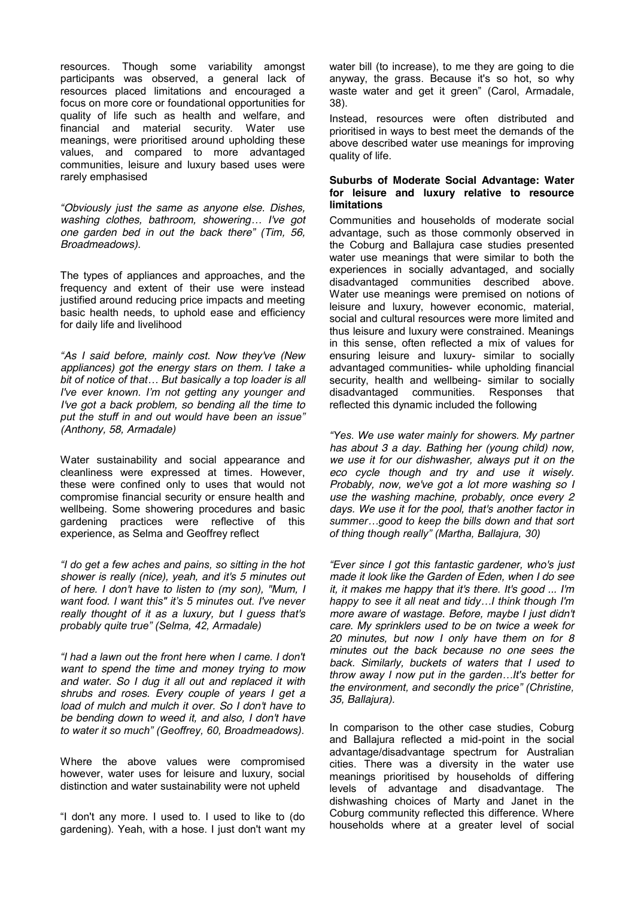resources. Though some variability amongst participants was observed, a general lack of resources placed limitations and encouraged a focus on more core or foundational opportunities for quality of life such as health and welfare, and financial and material security. Water use meanings, were prioritised around upholding these values, and compared to more advantaged communities, leisure and luxury based uses were rarely emphasised

*"Obviously just the same as anyone else. Dishes, washing clothes, bathroom, showering… I've got one garden bed in out the back there" (Tim, 56, Broadmeadows).*

The types of appliances and approaches, and the frequency and extent of their use were instead justified around reducing price impacts and meeting basic health needs, to uphold ease and efficiency for daily life and livelihood

*"As I said before, mainly cost. Now they've (New appliances) got the energy stars on them. I take a bit of notice of that… But basically a top loader is all I've ever known. I'm not getting any younger and I've got a back problem, so bending all the time to put the stuff in and out would have been an issue" (Anthony, 58, Armadale)*

Water sustainability and social appearance and cleanliness were expressed at times. However, these were confined only to uses that would not compromise financial security or ensure health and wellbeing. Some showering procedures and basic gardening practices were reflective of this experience, as Selma and Geoffrey reflect

*"I do get a few aches and pains, so sitting in the hot shower is really (nice), yeah, and it's 5 minutes out of here. I don't have to listen to (my son), "Mum, I want food. I want this" it's 5 minutes out. I've never really thought of it as a luxury, but I guess that's probably quite true" (Selma, 42, Armadale)*

*"I had a lawn out the front here when I came. I don't want to spend the time and money trying to mow and water. So I dug it all out and replaced it with shrubs and roses. Every couple of years I get a load of mulch and mulch it over. So I don't have to be bending down to weed it, and also, I don't have to water it so much" (Geoffrey, 60, Broadmeadows).*

Where the above values were compromised however, water uses for leisure and luxury, social distinction and water sustainability were not upheld

"I don't any more. I used to. I used to like to (do gardening). Yeah, with a hose. I just don't want my water bill (to increase), to me they are going to die anyway, the grass. Because it's so hot, so why waste water and get it green" (Carol, Armadale, 38).

Instead, resources were often distributed and prioritised in ways to best meet the demands of the above described water use meanings for improving quality of life.

## **Suburbs of Moderate Social Advantage: Water for leisure and luxury relative to resource limitations**

Communities and households of moderate social advantage, such as those commonly observed in the Coburg and Ballajura case studies presented water use meanings that were similar to both the experiences in socially advantaged, and socially disadvantaged communities described above. Water use meanings were premised on notions of leisure and luxury, however economic, material, social and cultural resources were more limited and thus leisure and luxury were constrained. Meanings in this sense, often reflected a mix of values for ensuring leisure and luxury- similar to socially advantaged communities- while upholding financial security, health and wellbeing- similar to socially disadvantaged communities. Responses that reflected this dynamic included the following

*"Yes. We use water mainly for showers. My partner has about 3 a day. Bathing her (young child) now, we use it for our dishwasher, always put it on the eco cycle though and try and use it wisely. Probably, now, we've got a lot more washing so I use the washing machine, probably, once every 2 days. We use it for the pool, that's another factor in summer…good to keep the bills down and that sort of thing though really" (Martha, Ballajura, 30)*

*"Ever since I got this fantastic gardener, who's just made it look like the Garden of Eden, when I do see it, it makes me happy that it's there. It's good ... I'm happy to see it all neat and tidy…I think though I'm more aware of wastage. Before, maybe I just didn't care. My sprinklers used to be on twice a week for 20 minutes, but now I only have them on for 8 minutes out the back because no one sees the back. Similarly, buckets of waters that I used to throw away I now put in the garden…It's better for the environment, and secondly the price" (Christine, 35, Ballajura).* 

In comparison to the other case studies, Coburg and Ballajura reflected a mid-point in the social advantage/disadvantage spectrum for Australian cities. There was a diversity in the water use meanings prioritised by households of differing levels of advantage and disadvantage. The dishwashing choices of Marty and Janet in the Coburg community reflected this difference. Where households where at a greater level of social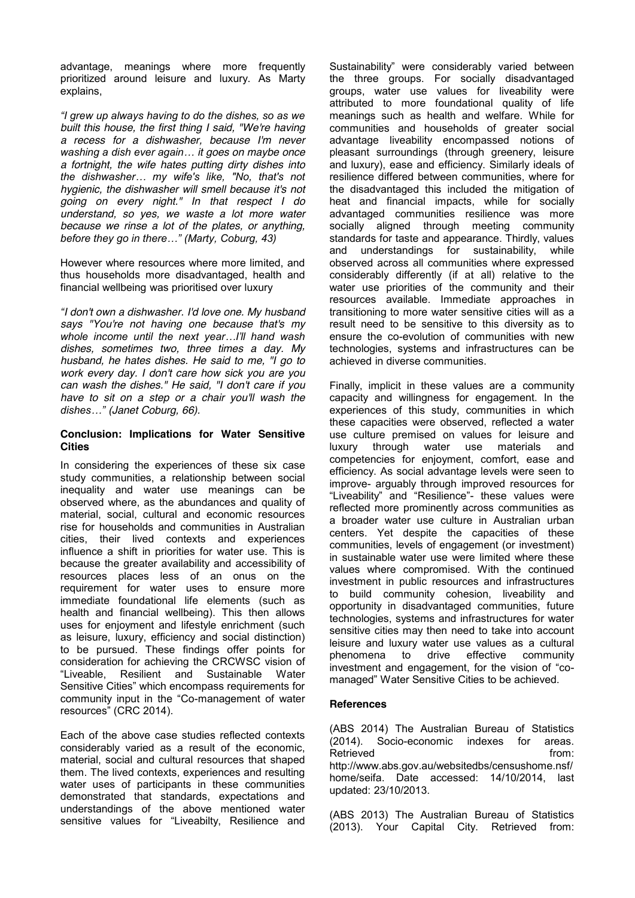advantage, meanings where more frequently prioritized around leisure and luxury. As Marty explains,

*"I grew up always having to do the dishes, so as we built this house, the first thing I said, "We're having a recess for a dishwasher, because I'm never washing a dish ever again… it goes on maybe once a fortnight, the wife hates putting dirty dishes into the dishwasher… my wife's like, "No, that's not hygienic, the dishwasher will smell because it's not going on every night." In that respect I do understand, so yes, we waste a lot more water because we rinse a lot of the plates, or anything, before they go in there…" (Marty, Coburg, 43)*

However where resources where more limited, and thus households more disadvantaged, health and financial wellbeing was prioritised over luxury

*"I don't own a dishwasher. I'd love one. My husband says "You're not having one because that's my whole income until the next year…I'll hand wash dishes, sometimes two, three times a day. My husband, he hates dishes. He said to me, "I go to work every day. I don't care how sick you are you can wash the dishes." He said, "I don't care if you have to sit on a step or a chair you'll wash the dishes…" (Janet Coburg, 66).*

## **Conclusion: Implications for Water Sensitive Cities**

In considering the experiences of these six case study communities, a relationship between social inequality and water use meanings can be observed where, as the abundances and quality of material, social, cultural and economic resources rise for households and communities in Australian cities, their lived contexts and experiences influence a shift in priorities for water use. This is because the greater availability and accessibility of resources places less of an onus on the requirement for water uses to ensure more immediate foundational life elements (such as health and financial wellbeing). This then allows uses for enjoyment and lifestyle enrichment (such as leisure, luxury, efficiency and social distinction) to be pursued. These findings offer points for consideration for achieving the CRCWSC vision of "Liveable, Resilient and Sustainable Water Sensitive Cities" which encompass requirements for community input in the "Co-management of water resources" (CRC 2014).

Each of the above case studies reflected contexts considerably varied as a result of the economic, material, social and cultural resources that shaped them. The lived contexts, experiences and resulting water uses of participants in these communities demonstrated that standards, expectations and understandings of the above mentioned water sensitive values for "Liveabilty, Resilience and

Sustainability" were considerably varied between the three groups. For socially disadvantaged groups, water use values for liveability were attributed to more foundational quality of life meanings such as health and welfare. While for communities and households of greater social advantage liveability encompassed notions of pleasant surroundings (through greenery, leisure and luxury), ease and efficiency. Similarly ideals of resilience differed between communities, where for the disadvantaged this included the mitigation of heat and financial impacts, while for socially advantaged communities resilience was more socially aligned through meeting community standards for taste and appearance. Thirdly, values and understandings for sustainability, while observed across all communities where expressed considerably differently (if at all) relative to the water use priorities of the community and their resources available. Immediate approaches in transitioning to more water sensitive cities will as a result need to be sensitive to this diversity as to ensure the co-evolution of communities with new technologies, systems and infrastructures can be achieved in diverse communities.

Finally, implicit in these values are a community capacity and willingness for engagement. In the experiences of this study, communities in which these capacities were observed, reflected a water use culture premised on values for leisure and luxury through water use materials and competencies for enjoyment, comfort, ease and efficiency. As social advantage levels were seen to improve- arguably through improved resources for "Liveability" and "Resilience"- these values were reflected more prominently across communities as a broader water use culture in Australian urban centers. Yet despite the capacities of these communities, levels of engagement (or investment) in sustainable water use were limited where these values where compromised. With the continued investment in public resources and infrastructures to build community cohesion, liveability and opportunity in disadvantaged communities, future technologies, systems and infrastructures for water sensitive cities may then need to take into account leisure and luxury water use values as a cultural phenomena to drive effective community investment and engagement, for the vision of "comanaged" Water Sensitive Cities to be achieved.

# **References**

(ABS 2014) The Australian Bureau of Statistics (2014). Socio-economic indexes for areas. Retrieved from: [http://www.abs.gov.au/websitedbs/censushome.nsf/](http://www.abs.gov.au/websitedbs/censushome.nsf/home/seifa) [home/seifa.](http://www.abs.gov.au/websitedbs/censushome.nsf/home/seifa) Date accessed: 14/10/2014, last updated: 23/10/2013.

(ABS 2013) The Australian Bureau of Statistics (2013). Your Capital City. Retrieved from: